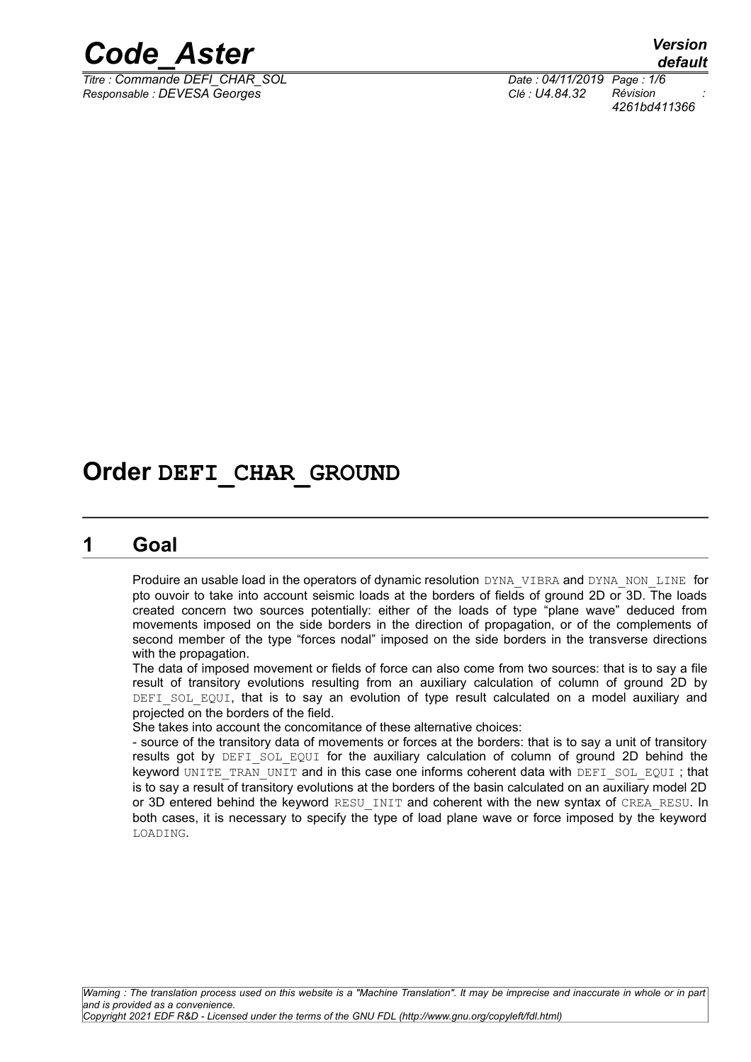

*Titre : Commande DEFI\_CHAR\_SOL Date : 04/11/2019 Page : 1/6 Responsable : DEVESA Georges Clé : U4.84.32 Révision :*

*default 4261bd411366*

# **Order DEFI\_CHAR\_GROUND**

## **1 Goal**

Produire an usable load in the operators of dynamic resolution DYNA\_VIBRA and DYNA\_NON\_LINE for pto ouvoir to take into account seismic loads at the borders of fields of ground 2D or 3D. The loads created concern two sources potentially: either of the loads of type "plane wave" deduced from movements imposed on the side borders in the direction of propagation, or of the complements of second member of the type "forces nodal" imposed on the side borders in the transverse directions with the propagation.

The data of imposed movement or fields of force can also come from two sources: that is to say a file result of transitory evolutions resulting from an auxiliary calculation of column of ground 2D by DEFI SOL EQUI, that is to say an evolution of type result calculated on a model auxiliary and projected on the borders of the field.

She takes into account the concomitance of these alternative choices:

- source of the transitory data of movements or forces at the borders: that is to say a unit of transitory results got by DEFI SOL EQUI for the auxiliary calculation of column of ground 2D behind the keyword UNITE\_TRAN\_UNIT and in this case one informs coherent data with DEFI\_SOL\_EQUI; that is to say a result of transitory evolutions at the borders of the basin calculated on an auxiliary model 2D or 3D entered behind the keyword RESU INIT and coherent with the new syntax of CREA\_RESU. In both cases, it is necessary to specify the type of load plane wave or force imposed by the keyword LOADING.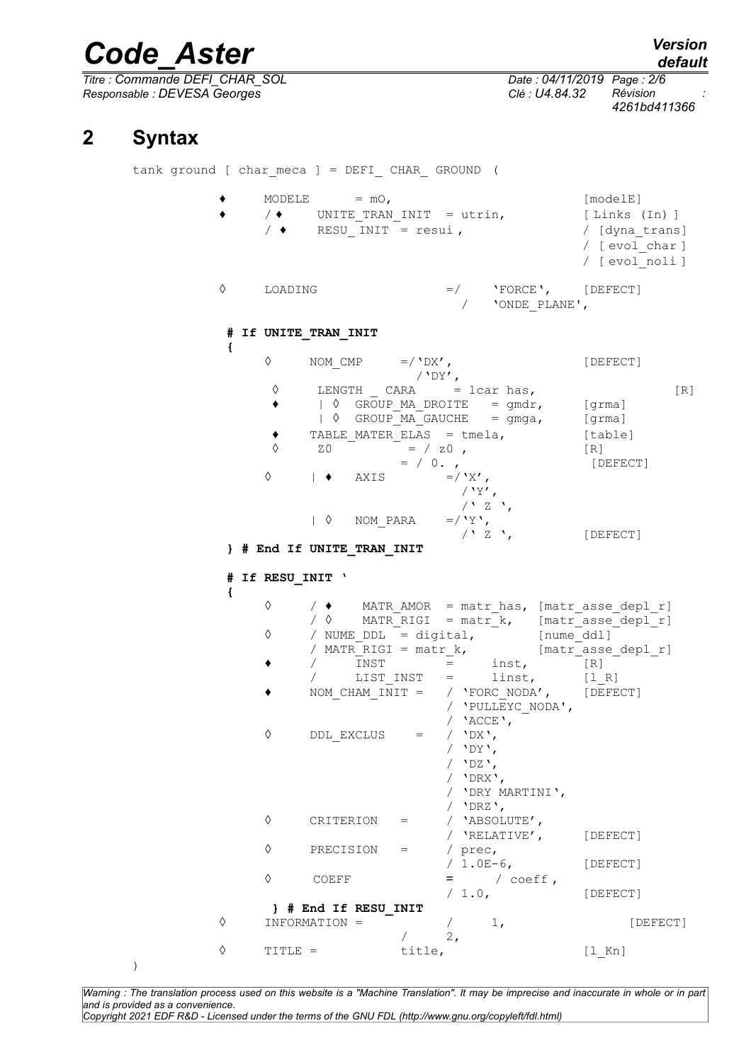*Titre : Commande DEFI\_CHAR\_SOL Date : 04/11/2019 Page : 2/6 Responsable : DEVESA Georges Clé : U4.84.32 Révision :*

*4261bd411366*

# **2 Syntax**

)

tank ground [ char meca ] = DEFI CHAR GROUND (  $\bullet$  MODELE =  $mO$ ,  $[mode]E]$  $\sqrt{ }$  UNITE TRAN INIT = utrin, [ Links (In) ]  $/$   $\bullet$  RESU INIT = resui ,  $/$  [dyna trans] / [ evol\_char ] / [ evol\_noli ] ◊ LOADING =/ 'FORCE', [DEFECT] / 'ONDE\_PLANE', **# If UNITE\_TRAN\_INIT {**  $\Diamond$  NOM CMP =/'DX', [DEFECT]  $/$ 'DY',  $\Diamond$  LENGTH CARA = lcar has,  $[R]$ ◆ | ◊ GROUP MA DROITE = gmdr, [grma] | 0 GROUP MA GAUCHE = gmga, [grma]  $\bullet$  TABLE MATER ELAS = tmela, [table]  $\sqrt{20}$  = / z0, [R]  $= / 0.$ , [DEFECT]  $\Diamond$  |  $\bullet$  AXIS =/'X',  $/$ 'Y',  $\frac{1}{1}$  /  $\frac{1}{2}$   $\frac{1}{2}$  ,  $\frac{1}{2}$  ,  $\frac{1}{2}$ | ◊ NOM\_PARA =/'Y', [DEFECT] **} # End If UNITE\_TRAN\_INIT # If RESU\_INIT ' {** ◊ / ♦ MATR\_AMOR = matr\_has, [matr\_asse\_depl\_r]  $MATR_RIGI = matrix_k,$  [matr\_asse\_depl\_r]<br>DDL = digital, [nume ddll]  $\Diamond$  / NUME DDL = digital,  $\Box$ /  $MATR_RIGI = matrix_k$ ,  $[matrix\_asse\_depl_r]$ <br>  $/$   $INST$  =  $inst$ ,  $[R]$  $\bullet$  / INST = inst, [R] / LIST\_INST = linst, [l\_R] ♦ NOM\_CHAM\_INIT = / 'FORC\_NODA', [DEFECT] / 'PULLEYC\_NODA', / **'**ACCE**',**<br>/ **'**DX**'**, ◇ DDL\_EXCLUS = / 'DY', / 'DZ', / 'DRX', / 'DRY MARTINI', / 'DRZ', ◊ CRITERION = / 'ABSOLUTE', / 'RELATIVE', [DEFECT] ◊ PRECISION = / prec, / 1.0E-6, [DEFECT]  $\begin{array}{ccc} \Diamond & \text{COEFF} & = & / \text{coeff} \, , \ & & \\ & & / \, 1.0 \, , \end{array}$ [DEFECT] **} # End If RESU\_INIT**  $\Diamond$  INFORMATION =  $\begin{bmatrix} - & 1 \\ 1 & 1 \end{bmatrix}$  [DEFECT]  $/$  2, ◊ TITLE = title, [l\_Kn]

*Warning : The translation process used on this website is a "Machine Translation". It may be imprecise and inaccurate in whole or in part and is provided as a convenience. Copyright 2021 EDF R&D - Licensed under the terms of the GNU FDL (http://www.gnu.org/copyleft/fdl.html)*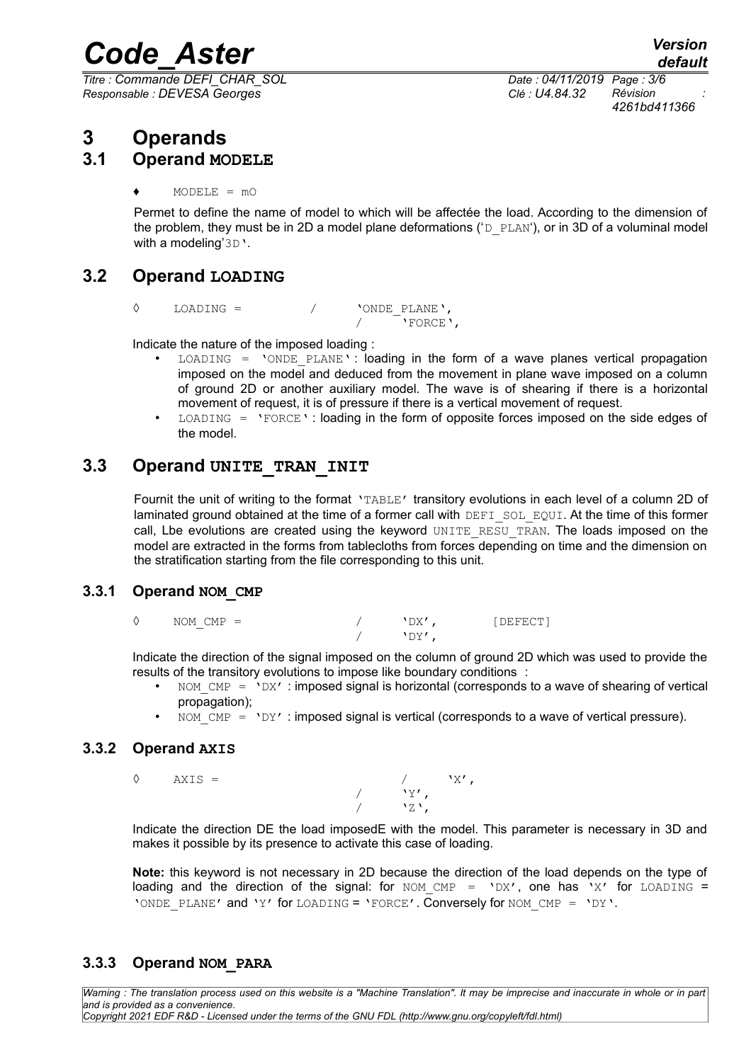*Titre : Commande DEFI\_CHAR\_SOL Date : 04/11/2019 Page : 3/6 Responsable : DEVESA Georges Clé : U4.84.32 Révision :*

*4261bd411366*

# **3 Operands**

## **3.1 Operand MODELE**

 $MODELE = mO$ 

Permet to define the name of model to which will be affectée the load. According to the dimension of the problem, they must be in 2D a model plane deformations ( $D$  PLAN'), or in 3D of a voluminal model with a modeling'3D'.

# **3.2 Operand LOADING**

◊ LOADING = / 'ONDE\_PLANE', / 'FORCE',

Indicate the nature of the imposed loading :

- $LOADING$  = 'ONDE PLANE': loading in the form of a wave planes vertical propagation imposed on the model and deduced from the movement in plane wave imposed on a column of ground 2D or another auxiliary model. The wave is of shearing if there is a horizontal movement of request, it is of pressure if there is a vertical movement of request.
- $LOADING = 'FORCE'$ : loading in the form of opposite forces imposed on the side edges of the model.

## **3.3 Operand UNITE\_TRAN\_INIT**

Fournit the unit of writing to the format 'TABLE' transitory evolutions in each level of a column 2D of laminated ground obtained at the time of a former call with DEFI SOL EQUI. At the time of this former call, Lbe evolutions are created using the keyword UNITE RESU TRAN. The loads imposed on the model are extracted in the forms from tablecloths from forces depending on time and the dimension on the stratification starting from the file corresponding to this unit.

#### **3.3.1 Operand NOM\_CMP**

| ♦ | $NOM$ $CMP =$ |  | DX' | [DEFECT] |
|---|---------------|--|-----|----------|
|   |               |  | ∸∸  |          |

Indicate the direction of the signal imposed on the column of ground 2D which was used to provide the results of the transitory evolutions to impose like boundary conditions :

- NOM  $\text{CMP} = \text{VDX}'$ : imposed signal is horizontal (corresponds to a wave of shearing of vertical propagation);
- NOM  $\text{CMP} = 'DY'$ : imposed signal is vertical (corresponds to a wave of vertical pressure).

## **3.3.2 Operand AXIS**

 $\Diamond$  AXIS = /  $'X',$  $\sqrt{y'}$ ,  $'Z'$ ,

Indicate the direction DE the load imposedE with the model. This parameter is necessary in 3D and makes it possible by its presence to activate this case of loading.

**Note:** this keyword is not necessary in 2D because the direction of the load depends on the type of loading and the direction of the signal: for NOM CMP =  $'DX'$ , one has 'X' for LOADING = 'ONDE PLANE' and 'Y' for LOADING = 'FORCE'. Conversely for NOM CMP = 'DY'.

#### **3.3.3 Operand NOM\_PARA**

*Warning : The translation process used on this website is a "Machine Translation". It may be imprecise and inaccurate in whole or in part and is provided as a convenience. Copyright 2021 EDF R&D - Licensed under the terms of the GNU FDL (http://www.gnu.org/copyleft/fdl.html)*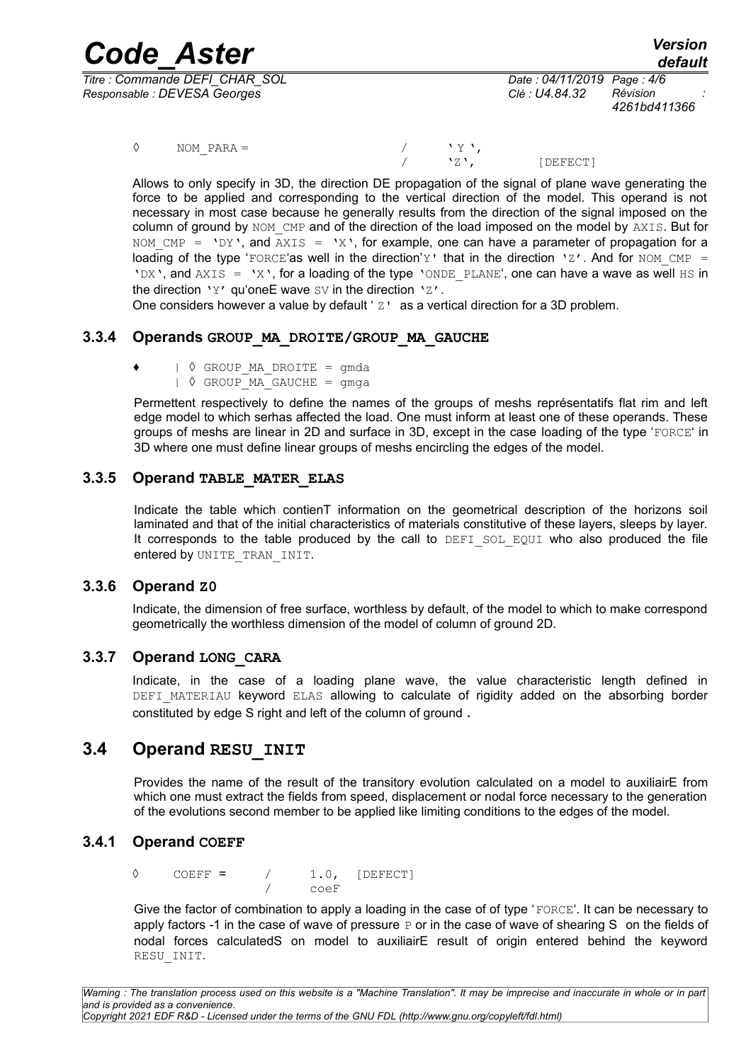*Code\_Aster Version Titre : Commande DEFI\_CHAR\_SOL Date : 04/11/2019 Page : 4/6 Responsable : DEVESA Georges Clé : U4.84.32 Révision :*

*4261bd411366*

 $\Diamond$  NOM\_PARA =  $\angle$  / '  $\lor$  ',  $\angle$ 

[DEFECT]

Allows to only specify in 3D, the direction DE propagation of the signal of plane wave generating the force to be applied and corresponding to the vertical direction of the model. This operand is not necessary in most case because he generally results from the direction of the signal imposed on the column of ground by NOM CMP and of the direction of the load imposed on the model by AXIS. But for NOM CMP = 'DY', and AXIS = 'X', for example, one can have a parameter of propagation for a loading of the type 'FORCE'as well in the direction'y' that in the direction 'z'. And for NOM CMP = 'DX', and AXIS = 'X', for a loading of the type 'ONDE PLANE', one can have a wave as well HS in the direction 'Y' qu'oneE wave  $SV$  in the direction ' $Z'$ .

One considers however a value by default  $2 \cdot z$  as a vertical direction for a 3D problem.

### **3.3.4 Operands GROUP\_MA\_DROITE/GROUP\_MA\_GAUCHE**

- $\vert \diamondsuit$  GROUP MA DROITE = gmda
	- $\sqrt{ }$  GROUP MA GAUCHE = gmga

Permettent respectively to define the names of the groups of meshs représentatifs flat rim and left edge model to which serhas affected the load. One must inform at least one of these operands. These groups of meshs are linear in 2D and surface in 3D, except in the case loading of the type 'FORCE' in 3D where one must define linear groups of meshs encircling the edges of the model.

#### **3.3.5 Operand TABLE\_MATER\_ELAS**

Indicate the table which contienT information on the geometrical description of the horizons soil laminated and that of the initial characteristics of materials constitutive of these layers, sleeps by layer. It corresponds to the table produced by the call to DEFI\_SOL\_EQUI who also produced the file entered by UNITE TRAN INIT.

#### **3.3.6 Operand Z0**

Indicate, the dimension of free surface, worthless by default, of the model to which to make correspond geometrically the worthless dimension of the model of column of ground 2D.

#### **3.3.7 Operand LONG\_CARA**

Indicate, in the case of a loading plane wave, the value characteristic length defined in DEFI\_MATERIAU keyword ELAS allowing to calculate of rigidity added on the absorbing border constituted by edge S right and left of the column of ground .

## **3.4 Operand RESU\_INIT**

Provides the name of the result of the transitory evolution calculated on a model to auxiliairE from which one must extract the fields from speed, displacement or nodal force necessary to the generation of the evolutions second member to be applied like limiting conditions to the edges of the model.

#### **3.4.1 Operand COEFF**

◊ COEFF = / 1.0, [DEFECT] / coeF

Give the factor of combination to apply a loading in the case of of type 'FORCE'. It can be necessary to apply factors -1 in the case of wave of pressure  $P$  or in the case of wave of shearing S on the fields of nodal forces calculatedS on model to auxiliairE result of origin entered behind the keyword RESU\_INIT.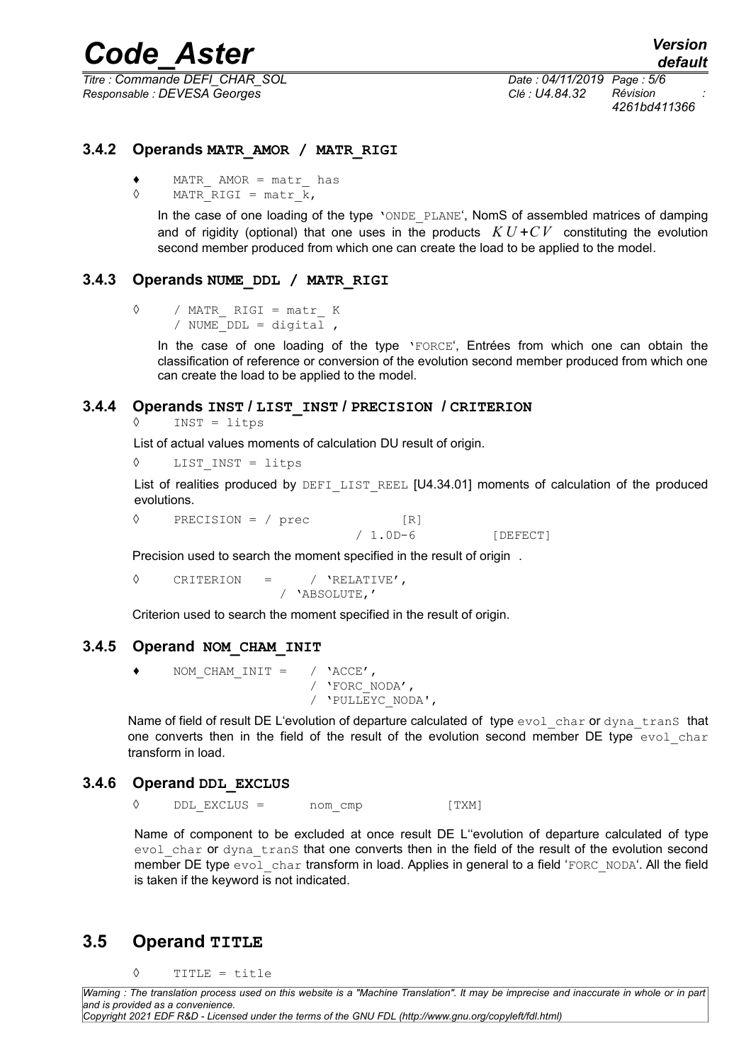*Titre : Commande DEFI\_CHAR\_SOL Date : 04/11/2019 Page : 5/6 Responsable : DEVESA Georges Clé : U4.84.32 Révision :*

*4261bd411366*

#### **3.4.2 Operands MATR\_AMOR / MATR\_RIGI**

- ♦ MATR\_ AMOR = matr\_ has
- $\Diamond$  MATR RIGI = matr k,

In the case of one loading of the type 'ONDE PLANE'. NomS of assembled matrices of damping and of rigidity (optional) that one uses in the products  $K U + CV$  constituting the evolution second member produced from which one can create the load to be applied to the model.

#### **3.4.3 Operands NUME\_DDL / MATR\_RIGI**

```
◊ / MATR_ RIGI = matr_ K
/ NUME DDL = \text{digital},
```
In the case of one loading of the type 'FORCE', Entrées from which one can obtain the classification of reference or conversion of the evolution second member produced from which one can create the load to be applied to the model.

#### **3.4.4 Operands INST / LIST\_INST / PRECISION / CRITERION**

```
INST = litps
```
List of actual values moments of calculation DU result of origin.

◊ LIST\_INST = litps

List of realities produced by DEFILIST REEL [U4.34.01] moments of calculation of the produced evolutions.

 $\Diamond$  PRECISION = / prec [R]

/ 1.0D-6 [DEFECT]

Precision used to search the moment specified in the result of origin .

◊ CRITERION = / 'RELATIVE', / 'ABSOLUTE,'

Criterion used to search the moment specified in the result of origin.

#### **3.4.5 Operand NOM\_CHAM\_INIT**

♦ NOM\_CHAM\_INIT = / 'ACCE', / 'FORC\_NODA', / 'PULLEYC\_NODA',

Name of field of result DE L'evolution of departure calculated of type evol char or dyna tranS that one converts then in the field of the result of the evolution second member DE type evol char transform in load.

#### **3.4.6 Operand DDL\_EXCLUS**

 $DDL$  EXCLUS = nom cmp [TXM]

Name of component to be excluded at once result DE L''evolution of departure calculated of type evol char or dyna trans that one converts then in the field of the result of the evolution second member DE type evol\_char transform in load. Applies in general to a field 'FORC\_NODA'. All the field is taken if the keyword is not indicated.

## **3.5 Operand TITLE**

◊ TITLE = title

*Warning : The translation process used on this website is a "Machine Translation". It may be imprecise and inaccurate in whole or in part and is provided as a convenience. Copyright 2021 EDF R&D - Licensed under the terms of the GNU FDL (http://www.gnu.org/copyleft/fdl.html)*